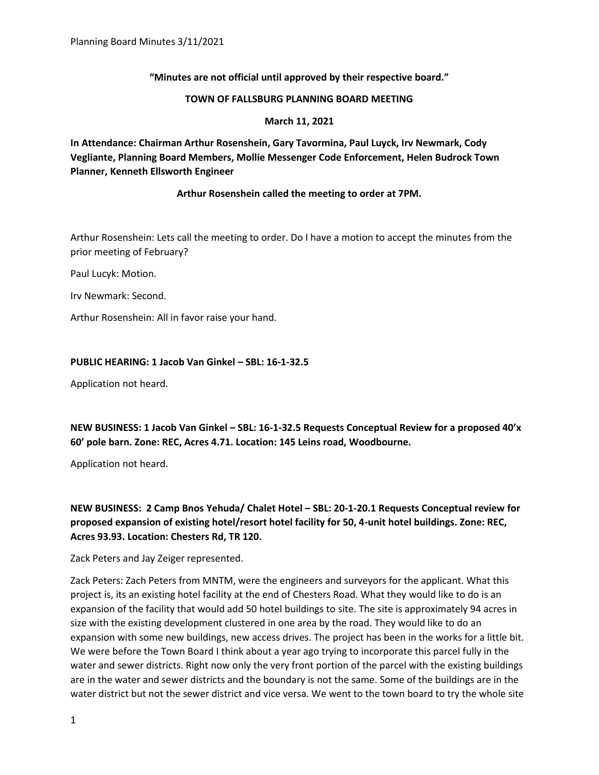# **"Minutes are not official until approved by their respective board."**

#### **TOWN OF FALLSBURG PLANNING BOARD MEETING**

#### **March 11, 2021**

**In Attendance: Chairman Arthur Rosenshein, Gary Tavormina, Paul Luyck, Irv Newmark, Cody Vegliante, Planning Board Members, Mollie Messenger Code Enforcement, Helen Budrock Town Planner, Kenneth Ellsworth Engineer**

## **Arthur Rosenshein called the meeting to order at 7PM.**

Arthur Rosenshein: Lets call the meeting to order. Do I have a motion to accept the minutes from the prior meeting of February?

Paul Lucyk: Motion.

Irv Newmark: Second.

Arthur Rosenshein: All in favor raise your hand.

## **PUBLIC HEARING: 1 Jacob Van Ginkel – SBL: 16-1-32.5**

Application not heard.

**NEW BUSINESS: 1 Jacob Van Ginkel – SBL: 16-1-32.5 Requests Conceptual Review for a proposed 40'x 60' pole barn. Zone: REC, Acres 4.71. Location: 145 Leins road, Woodbourne.**

Application not heard.

**NEW BUSINESS: 2 Camp Bnos Yehuda/ Chalet Hotel – SBL: 20-1-20.1 Requests Conceptual review for proposed expansion of existing hotel/resort hotel facility for 50, 4-unit hotel buildings. Zone: REC, Acres 93.93. Location: Chesters Rd, TR 120.**

Zack Peters and Jay Zeiger represented.

Zack Peters: Zach Peters from MNTM, were the engineers and surveyors for the applicant. What this project is, its an existing hotel facility at the end of Chesters Road. What they would like to do is an expansion of the facility that would add 50 hotel buildings to site. The site is approximately 94 acres in size with the existing development clustered in one area by the road. They would like to do an expansion with some new buildings, new access drives. The project has been in the works for a little bit. We were before the Town Board I think about a year ago trying to incorporate this parcel fully in the water and sewer districts. Right now only the very front portion of the parcel with the existing buildings are in the water and sewer districts and the boundary is not the same. Some of the buildings are in the water district but not the sewer district and vice versa. We went to the town board to try the whole site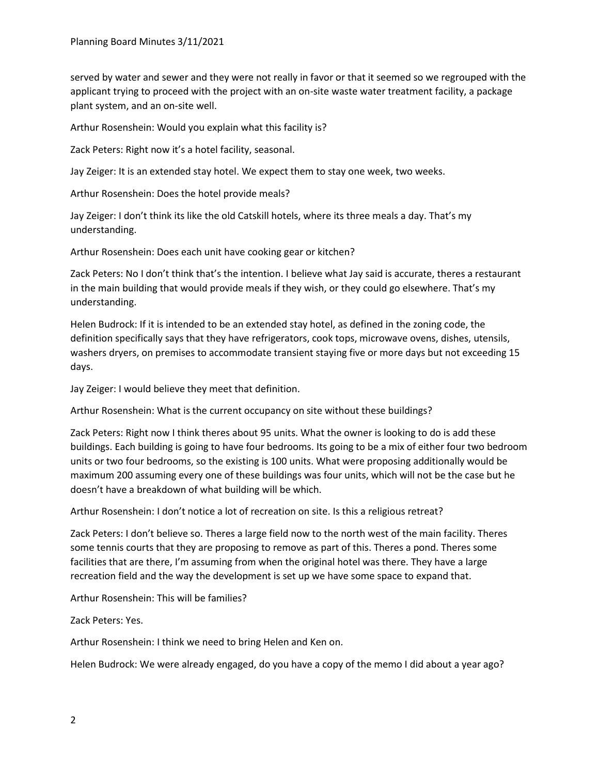served by water and sewer and they were not really in favor or that it seemed so we regrouped with the applicant trying to proceed with the project with an on-site waste water treatment facility, a package plant system, and an on-site well.

Arthur Rosenshein: Would you explain what this facility is?

Zack Peters: Right now it's a hotel facility, seasonal.

Jay Zeiger: It is an extended stay hotel. We expect them to stay one week, two weeks.

Arthur Rosenshein: Does the hotel provide meals?

Jay Zeiger: I don't think its like the old Catskill hotels, where its three meals a day. That's my understanding.

Arthur Rosenshein: Does each unit have cooking gear or kitchen?

Zack Peters: No I don't think that's the intention. I believe what Jay said is accurate, theres a restaurant in the main building that would provide meals if they wish, or they could go elsewhere. That's my understanding.

Helen Budrock: If it is intended to be an extended stay hotel, as defined in the zoning code, the definition specifically says that they have refrigerators, cook tops, microwave ovens, dishes, utensils, washers dryers, on premises to accommodate transient staying five or more days but not exceeding 15 days.

Jay Zeiger: I would believe they meet that definition.

Arthur Rosenshein: What is the current occupancy on site without these buildings?

Zack Peters: Right now I think theres about 95 units. What the owner is looking to do is add these buildings. Each building is going to have four bedrooms. Its going to be a mix of either four two bedroom units or two four bedrooms, so the existing is 100 units. What were proposing additionally would be maximum 200 assuming every one of these buildings was four units, which will not be the case but he doesn't have a breakdown of what building will be which.

Arthur Rosenshein: I don't notice a lot of recreation on site. Is this a religious retreat?

Zack Peters: I don't believe so. Theres a large field now to the north west of the main facility. Theres some tennis courts that they are proposing to remove as part of this. Theres a pond. Theres some facilities that are there, I'm assuming from when the original hotel was there. They have a large recreation field and the way the development is set up we have some space to expand that.

Arthur Rosenshein: This will be families?

Zack Peters: Yes.

Arthur Rosenshein: I think we need to bring Helen and Ken on.

Helen Budrock: We were already engaged, do you have a copy of the memo I did about a year ago?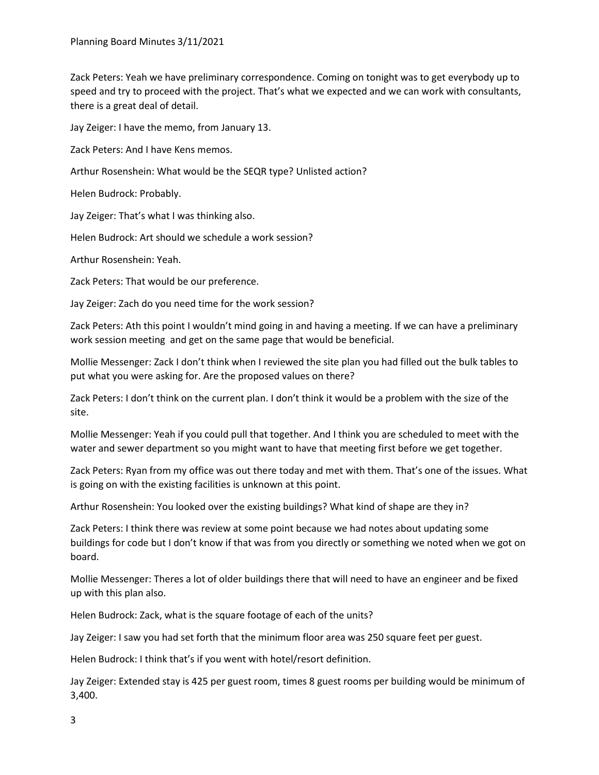Zack Peters: Yeah we have preliminary correspondence. Coming on tonight was to get everybody up to speed and try to proceed with the project. That's what we expected and we can work with consultants, there is a great deal of detail.

Jay Zeiger: I have the memo, from January 13.

Zack Peters: And I have Kens memos.

Arthur Rosenshein: What would be the SEQR type? Unlisted action?

Helen Budrock: Probably.

Jay Zeiger: That's what I was thinking also.

Helen Budrock: Art should we schedule a work session?

Arthur Rosenshein: Yeah.

Zack Peters: That would be our preference.

Jay Zeiger: Zach do you need time for the work session?

Zack Peters: Ath this point I wouldn't mind going in and having a meeting. If we can have a preliminary work session meeting and get on the same page that would be beneficial.

Mollie Messenger: Zack I don't think when I reviewed the site plan you had filled out the bulk tables to put what you were asking for. Are the proposed values on there?

Zack Peters: I don't think on the current plan. I don't think it would be a problem with the size of the site.

Mollie Messenger: Yeah if you could pull that together. And I think you are scheduled to meet with the water and sewer department so you might want to have that meeting first before we get together.

Zack Peters: Ryan from my office was out there today and met with them. That's one of the issues. What is going on with the existing facilities is unknown at this point.

Arthur Rosenshein: You looked over the existing buildings? What kind of shape are they in?

Zack Peters: I think there was review at some point because we had notes about updating some buildings for code but I don't know if that was from you directly or something we noted when we got on board.

Mollie Messenger: Theres a lot of older buildings there that will need to have an engineer and be fixed up with this plan also.

Helen Budrock: Zack, what is the square footage of each of the units?

Jay Zeiger: I saw you had set forth that the minimum floor area was 250 square feet per guest.

Helen Budrock: I think that's if you went with hotel/resort definition.

Jay Zeiger: Extended stay is 425 per guest room, times 8 guest rooms per building would be minimum of 3,400.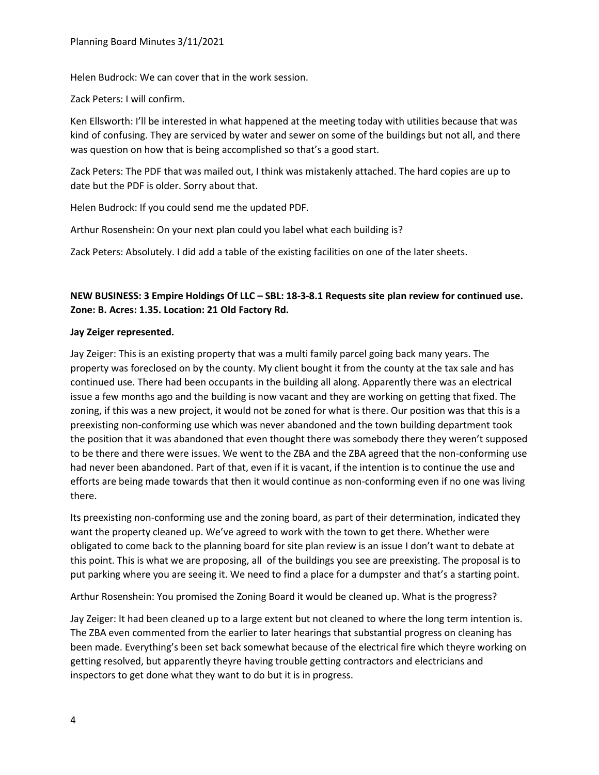Helen Budrock: We can cover that in the work session.

Zack Peters: I will confirm.

Ken Ellsworth: I'll be interested in what happened at the meeting today with utilities because that was kind of confusing. They are serviced by water and sewer on some of the buildings but not all, and there was question on how that is being accomplished so that's a good start.

Zack Peters: The PDF that was mailed out, I think was mistakenly attached. The hard copies are up to date but the PDF is older. Sorry about that.

Helen Budrock: If you could send me the updated PDF.

Arthur Rosenshein: On your next plan could you label what each building is?

Zack Peters: Absolutely. I did add a table of the existing facilities on one of the later sheets.

# **NEW BUSINESS: 3 Empire Holdings Of LLC – SBL: 18-3-8.1 Requests site plan review for continued use. Zone: B. Acres: 1.35. Location: 21 Old Factory Rd.**

#### **Jay Zeiger represented.**

Jay Zeiger: This is an existing property that was a multi family parcel going back many years. The property was foreclosed on by the county. My client bought it from the county at the tax sale and has continued use. There had been occupants in the building all along. Apparently there was an electrical issue a few months ago and the building is now vacant and they are working on getting that fixed. The zoning, if this was a new project, it would not be zoned for what is there. Our position was that this is a preexisting non-conforming use which was never abandoned and the town building department took the position that it was abandoned that even thought there was somebody there they weren't supposed to be there and there were issues. We went to the ZBA and the ZBA agreed that the non-conforming use had never been abandoned. Part of that, even if it is vacant, if the intention is to continue the use and efforts are being made towards that then it would continue as non-conforming even if no one was living there.

Its preexisting non-conforming use and the zoning board, as part of their determination, indicated they want the property cleaned up. We've agreed to work with the town to get there. Whether were obligated to come back to the planning board for site plan review is an issue I don't want to debate at this point. This is what we are proposing, all of the buildings you see are preexisting. The proposal is to put parking where you are seeing it. We need to find a place for a dumpster and that's a starting point.

Arthur Rosenshein: You promised the Zoning Board it would be cleaned up. What is the progress?

Jay Zeiger: It had been cleaned up to a large extent but not cleaned to where the long term intention is. The ZBA even commented from the earlier to later hearings that substantial progress on cleaning has been made. Everything's been set back somewhat because of the electrical fire which theyre working on getting resolved, but apparently theyre having trouble getting contractors and electricians and inspectors to get done what they want to do but it is in progress.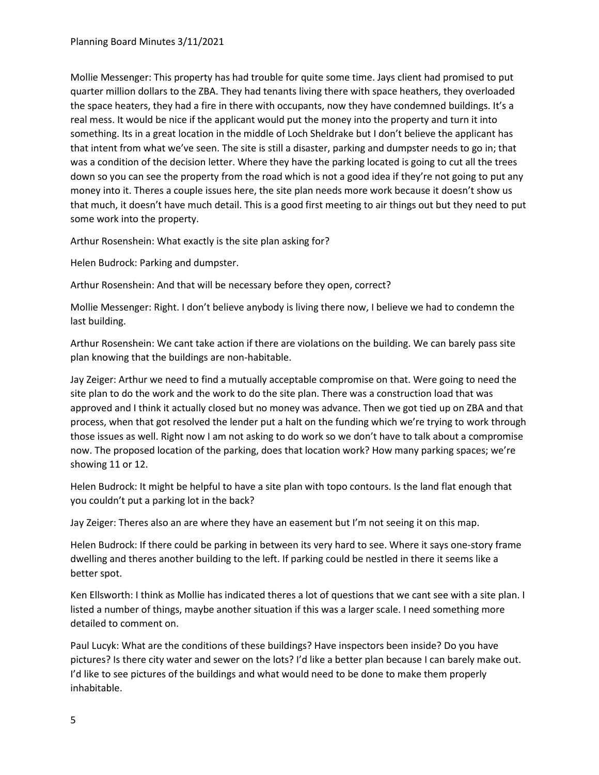Mollie Messenger: This property has had trouble for quite some time. Jays client had promised to put quarter million dollars to the ZBA. They had tenants living there with space heathers, they overloaded the space heaters, they had a fire in there with occupants, now they have condemned buildings. It's a real mess. It would be nice if the applicant would put the money into the property and turn it into something. Its in a great location in the middle of Loch Sheldrake but I don't believe the applicant has that intent from what we've seen. The site is still a disaster, parking and dumpster needs to go in; that was a condition of the decision letter. Where they have the parking located is going to cut all the trees down so you can see the property from the road which is not a good idea if they're not going to put any money into it. Theres a couple issues here, the site plan needs more work because it doesn't show us that much, it doesn't have much detail. This is a good first meeting to air things out but they need to put some work into the property.

Arthur Rosenshein: What exactly is the site plan asking for?

Helen Budrock: Parking and dumpster.

Arthur Rosenshein: And that will be necessary before they open, correct?

Mollie Messenger: Right. I don't believe anybody is living there now, I believe we had to condemn the last building.

Arthur Rosenshein: We cant take action if there are violations on the building. We can barely pass site plan knowing that the buildings are non-habitable.

Jay Zeiger: Arthur we need to find a mutually acceptable compromise on that. Were going to need the site plan to do the work and the work to do the site plan. There was a construction load that was approved and I think it actually closed but no money was advance. Then we got tied up on ZBA and that process, when that got resolved the lender put a halt on the funding which we're trying to work through those issues as well. Right now I am not asking to do work so we don't have to talk about a compromise now. The proposed location of the parking, does that location work? How many parking spaces; we're showing 11 or 12.

Helen Budrock: It might be helpful to have a site plan with topo contours. Is the land flat enough that you couldn't put a parking lot in the back?

Jay Zeiger: Theres also an are where they have an easement but I'm not seeing it on this map.

Helen Budrock: If there could be parking in between its very hard to see. Where it says one-story frame dwelling and theres another building to the left. If parking could be nestled in there it seems like a better spot.

Ken Ellsworth: I think as Mollie has indicated theres a lot of questions that we cant see with a site plan. I listed a number of things, maybe another situation if this was a larger scale. I need something more detailed to comment on.

Paul Lucyk: What are the conditions of these buildings? Have inspectors been inside? Do you have pictures? Is there city water and sewer on the lots? I'd like a better plan because I can barely make out. I'd like to see pictures of the buildings and what would need to be done to make them properly inhabitable.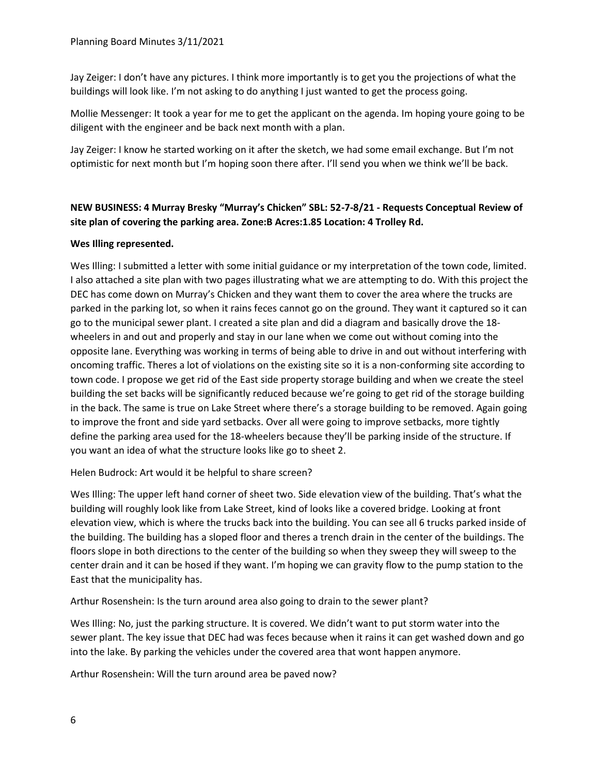Jay Zeiger: I don't have any pictures. I think more importantly is to get you the projections of what the buildings will look like. I'm not asking to do anything I just wanted to get the process going.

Mollie Messenger: It took a year for me to get the applicant on the agenda. Im hoping youre going to be diligent with the engineer and be back next month with a plan.

Jay Zeiger: I know he started working on it after the sketch, we had some email exchange. But I'm not optimistic for next month but I'm hoping soon there after. I'll send you when we think we'll be back.

# **NEW BUSINESS: 4 Murray Bresky "Murray's Chicken" SBL: 52-7-8/21 - Requests Conceptual Review of site plan of covering the parking area. Zone:B Acres:1.85 Location: 4 Trolley Rd.**

## **Wes Illing represented.**

Wes Illing: I submitted a letter with some initial guidance or my interpretation of the town code, limited. I also attached a site plan with two pages illustrating what we are attempting to do. With this project the DEC has come down on Murray's Chicken and they want them to cover the area where the trucks are parked in the parking lot, so when it rains feces cannot go on the ground. They want it captured so it can go to the municipal sewer plant. I created a site plan and did a diagram and basically drove the 18 wheelers in and out and properly and stay in our lane when we come out without coming into the opposite lane. Everything was working in terms of being able to drive in and out without interfering with oncoming traffic. Theres a lot of violations on the existing site so it is a non-conforming site according to town code. I propose we get rid of the East side property storage building and when we create the steel building the set backs will be significantly reduced because we're going to get rid of the storage building in the back. The same is true on Lake Street where there's a storage building to be removed. Again going to improve the front and side yard setbacks. Over all were going to improve setbacks, more tightly define the parking area used for the 18-wheelers because they'll be parking inside of the structure. If you want an idea of what the structure looks like go to sheet 2.

Helen Budrock: Art would it be helpful to share screen?

Wes Illing: The upper left hand corner of sheet two. Side elevation view of the building. That's what the building will roughly look like from Lake Street, kind of looks like a covered bridge. Looking at front elevation view, which is where the trucks back into the building. You can see all 6 trucks parked inside of the building. The building has a sloped floor and theres a trench drain in the center of the buildings. The floors slope in both directions to the center of the building so when they sweep they will sweep to the center drain and it can be hosed if they want. I'm hoping we can gravity flow to the pump station to the East that the municipality has.

Arthur Rosenshein: Is the turn around area also going to drain to the sewer plant?

Wes Illing: No, just the parking structure. It is covered. We didn't want to put storm water into the sewer plant. The key issue that DEC had was feces because when it rains it can get washed down and go into the lake. By parking the vehicles under the covered area that wont happen anymore.

Arthur Rosenshein: Will the turn around area be paved now?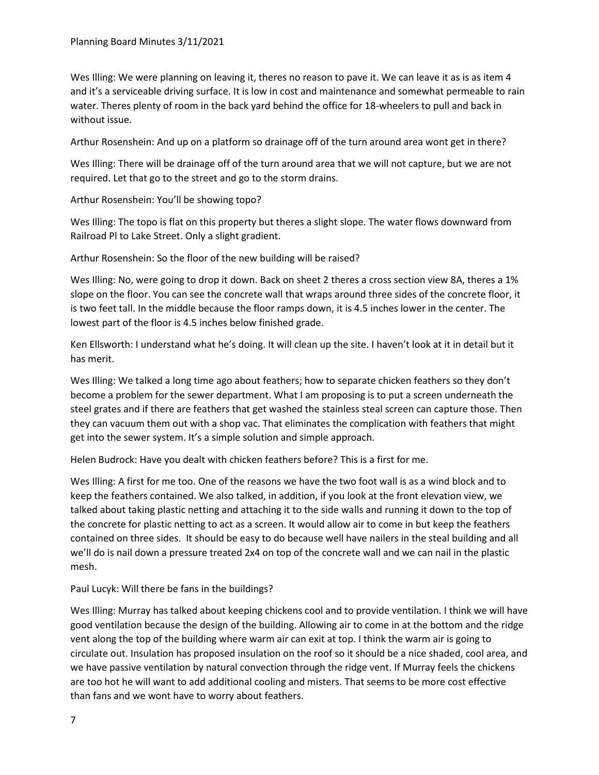Wes Illing: We were planning on leaving it, theres no reason to pave it. We can leave it as is as item 4 and it's a serviceable driving surface. It is low in cost and maintenance and somewhat permeable to rain water. Theres plenty of room in the back yard behind the office for 18-wheelers to pull and back in without issue.

Arthur Rosenshein: And up on a platform so drainage off of the turn around area wont get in there?

Wes Illing: There will be drainage off of the turn around area that we will not capture, but we are not required. Let that go to the street and go to the storm drains.

Arthur Rosenshein: You'll be showing topo?

Wes Illing: The topo is flat on this property but theres a slight slope. The water flows downward from Railroad Pl to Lake Street. Only a slight gradient.

Arthur Rosenshein: So the floor of the new building will be raised?

Wes Illing: No, were going to drop it down. Back on sheet 2 theres a cross section view 8A, theres a 1% slope on the floor. You can see the concrete wall that wraps around three sides of the concrete floor, it is two feet tall. In the middle because the floor ramps down, it is 4.5 inches lower in the center. The lowest part of the floor is 4.5 inches below finished grade.

Ken Ellsworth: I understand what he's doing. It will clean up the site. I haven't look at it in detail but it has merit.

Wes Illing: We talked a long time ago about feathers; how to separate chicken feathers so they don't become a problem for the sewer department. What I am proposing is to put a screen underneath the steel grates and if there are feathers that get washed the stainless steal screen can capture those. Then they can vacuum them out with a shop vac. That eliminates the complication with feathers that might get into the sewer system. It's a simple solution and simple approach.

Helen Budrock: Have you dealt with chicken feathers before? This is a first for me.

Wes Illing: A first for me too. One of the reasons we have the two foot wall is as a wind block and to keep the feathers contained. We also talked, in addition, if you look at the front elevation view, we talked about taking plastic netting and attaching it to the side walls and running it down to the top of the concrete for plastic netting to act as a screen. It would allow air to come in but keep the feathers contained on three sides. It should be easy to do because well have nailers in the steal building and all we'll do is nail down a pressure treated 2x4 on top of the concrete wall and we can nail in the plastic mesh.

Paul Lucyk: Will there be fans in the buildings?

Wes Illing: Murray has talked about keeping chickens cool and to provide ventilation. I think we will have good ventilation because the design of the building. Allowing air to come in at the bottom and the ridge vent along the top of the building where warm air can exit at top. I think the warm air is going to circulate out. Insulation has proposed insulation on the roof so it should be a nice shaded, cool area, and we have passive ventilation by natural convection through the ridge vent. If Murray feels the chickens are too hot he will want to add additional cooling and misters. That seems to be more cost effective than fans and we wont have to worry about feathers.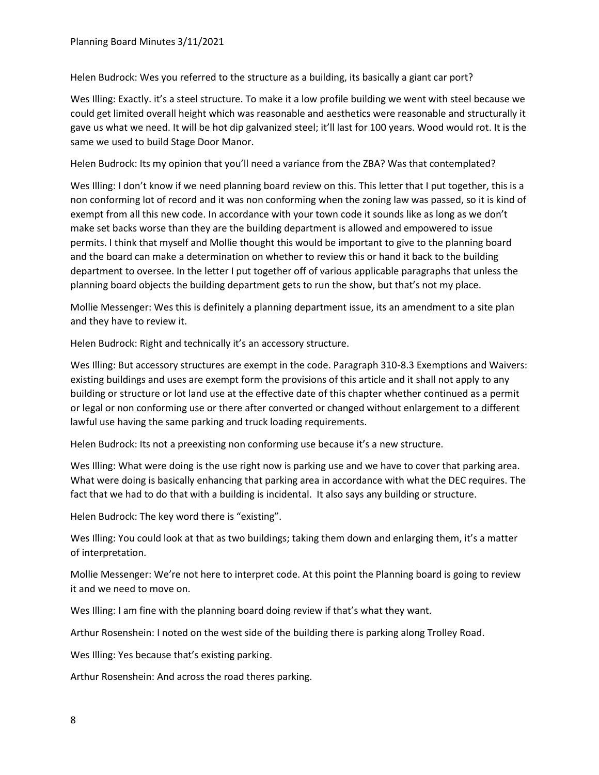Helen Budrock: Wes you referred to the structure as a building, its basically a giant car port?

Wes Illing: Exactly. it's a steel structure. To make it a low profile building we went with steel because we could get limited overall height which was reasonable and aesthetics were reasonable and structurally it gave us what we need. It will be hot dip galvanized steel; it'll last for 100 years. Wood would rot. It is the same we used to build Stage Door Manor.

Helen Budrock: Its my opinion that you'll need a variance from the ZBA? Was that contemplated?

Wes Illing: I don't know if we need planning board review on this. This letter that I put together, this is a non conforming lot of record and it was non conforming when the zoning law was passed, so it is kind of exempt from all this new code. In accordance with your town code it sounds like as long as we don't make set backs worse than they are the building department is allowed and empowered to issue permits. I think that myself and Mollie thought this would be important to give to the planning board and the board can make a determination on whether to review this or hand it back to the building department to oversee. In the letter I put together off of various applicable paragraphs that unless the planning board objects the building department gets to run the show, but that's not my place.

Mollie Messenger: Wes this is definitely a planning department issue, its an amendment to a site plan and they have to review it.

Helen Budrock: Right and technically it's an accessory structure.

Wes Illing: But accessory structures are exempt in the code. Paragraph 310-8.3 Exemptions and Waivers: existing buildings and uses are exempt form the provisions of this article and it shall not apply to any building or structure or lot land use at the effective date of this chapter whether continued as a permit or legal or non conforming use or there after converted or changed without enlargement to a different lawful use having the same parking and truck loading requirements.

Helen Budrock: Its not a preexisting non conforming use because it's a new structure.

Wes Illing: What were doing is the use right now is parking use and we have to cover that parking area. What were doing is basically enhancing that parking area in accordance with what the DEC requires. The fact that we had to do that with a building is incidental. It also says any building or structure.

Helen Budrock: The key word there is "existing".

Wes Illing: You could look at that as two buildings; taking them down and enlarging them, it's a matter of interpretation.

Mollie Messenger: We're not here to interpret code. At this point the Planning board is going to review it and we need to move on.

Wes Illing: I am fine with the planning board doing review if that's what they want.

Arthur Rosenshein: I noted on the west side of the building there is parking along Trolley Road.

Wes Illing: Yes because that's existing parking.

Arthur Rosenshein: And across the road theres parking.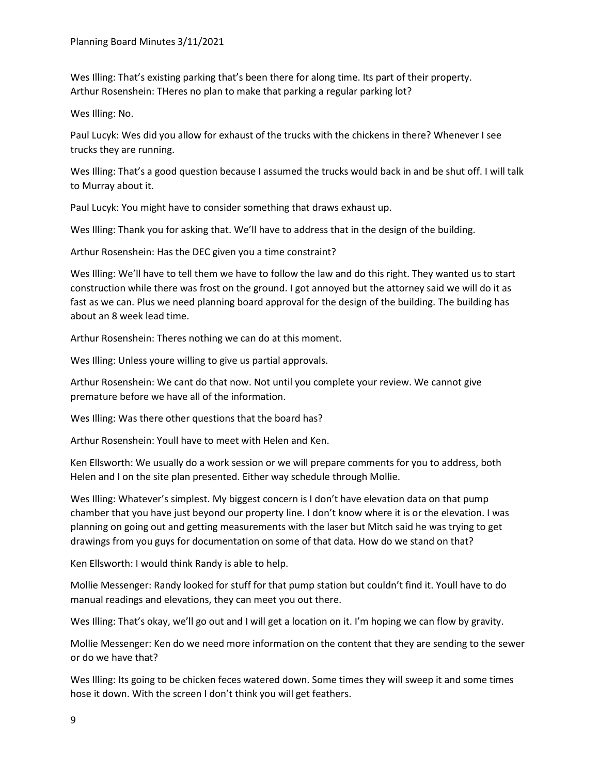Wes Illing: That's existing parking that's been there for along time. Its part of their property. Arthur Rosenshein: THeres no plan to make that parking a regular parking lot?

Wes Illing: No.

Paul Lucyk: Wes did you allow for exhaust of the trucks with the chickens in there? Whenever I see trucks they are running.

Wes Illing: That's a good question because I assumed the trucks would back in and be shut off. I will talk to Murray about it.

Paul Lucyk: You might have to consider something that draws exhaust up.

Wes Illing: Thank you for asking that. We'll have to address that in the design of the building.

Arthur Rosenshein: Has the DEC given you a time constraint?

Wes Illing: We'll have to tell them we have to follow the law and do this right. They wanted us to start construction while there was frost on the ground. I got annoyed but the attorney said we will do it as fast as we can. Plus we need planning board approval for the design of the building. The building has about an 8 week lead time.

Arthur Rosenshein: Theres nothing we can do at this moment.

Wes Illing: Unless youre willing to give us partial approvals.

Arthur Rosenshein: We cant do that now. Not until you complete your review. We cannot give premature before we have all of the information.

Wes Illing: Was there other questions that the board has?

Arthur Rosenshein: Youll have to meet with Helen and Ken.

Ken Ellsworth: We usually do a work session or we will prepare comments for you to address, both Helen and I on the site plan presented. Either way schedule through Mollie.

Wes Illing: Whatever's simplest. My biggest concern is I don't have elevation data on that pump chamber that you have just beyond our property line. I don't know where it is or the elevation. I was planning on going out and getting measurements with the laser but Mitch said he was trying to get drawings from you guys for documentation on some of that data. How do we stand on that?

Ken Ellsworth: I would think Randy is able to help.

Mollie Messenger: Randy looked for stuff for that pump station but couldn't find it. Youll have to do manual readings and elevations, they can meet you out there.

Wes Illing: That's okay, we'll go out and I will get a location on it. I'm hoping we can flow by gravity.

Mollie Messenger: Ken do we need more information on the content that they are sending to the sewer or do we have that?

Wes Illing: Its going to be chicken feces watered down. Some times they will sweep it and some times hose it down. With the screen I don't think you will get feathers.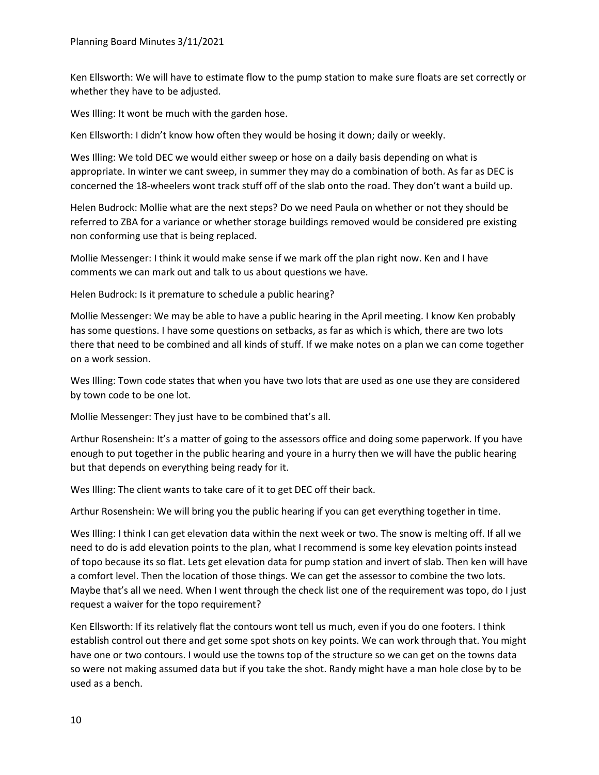Ken Ellsworth: We will have to estimate flow to the pump station to make sure floats are set correctly or whether they have to be adjusted.

Wes Illing: It wont be much with the garden hose.

Ken Ellsworth: I didn't know how often they would be hosing it down; daily or weekly.

Wes Illing: We told DEC we would either sweep or hose on a daily basis depending on what is appropriate. In winter we cant sweep, in summer they may do a combination of both. As far as DEC is concerned the 18-wheelers wont track stuff off of the slab onto the road. They don't want a build up.

Helen Budrock: Mollie what are the next steps? Do we need Paula on whether or not they should be referred to ZBA for a variance or whether storage buildings removed would be considered pre existing non conforming use that is being replaced.

Mollie Messenger: I think it would make sense if we mark off the plan right now. Ken and I have comments we can mark out and talk to us about questions we have.

Helen Budrock: Is it premature to schedule a public hearing?

Mollie Messenger: We may be able to have a public hearing in the April meeting. I know Ken probably has some questions. I have some questions on setbacks, as far as which is which, there are two lots there that need to be combined and all kinds of stuff. If we make notes on a plan we can come together on a work session.

Wes Illing: Town code states that when you have two lots that are used as one use they are considered by town code to be one lot.

Mollie Messenger: They just have to be combined that's all.

Arthur Rosenshein: It's a matter of going to the assessors office and doing some paperwork. If you have enough to put together in the public hearing and youre in a hurry then we will have the public hearing but that depends on everything being ready for it.

Wes Illing: The client wants to take care of it to get DEC off their back.

Arthur Rosenshein: We will bring you the public hearing if you can get everything together in time.

Wes Illing: I think I can get elevation data within the next week or two. The snow is melting off. If all we need to do is add elevation points to the plan, what I recommend is some key elevation points instead of topo because its so flat. Lets get elevation data for pump station and invert of slab. Then ken will have a comfort level. Then the location of those things. We can get the assessor to combine the two lots. Maybe that's all we need. When I went through the check list one of the requirement was topo, do I just request a waiver for the topo requirement?

Ken Ellsworth: If its relatively flat the contours wont tell us much, even if you do one footers. I think establish control out there and get some spot shots on key points. We can work through that. You might have one or two contours. I would use the towns top of the structure so we can get on the towns data so were not making assumed data but if you take the shot. Randy might have a man hole close by to be used as a bench.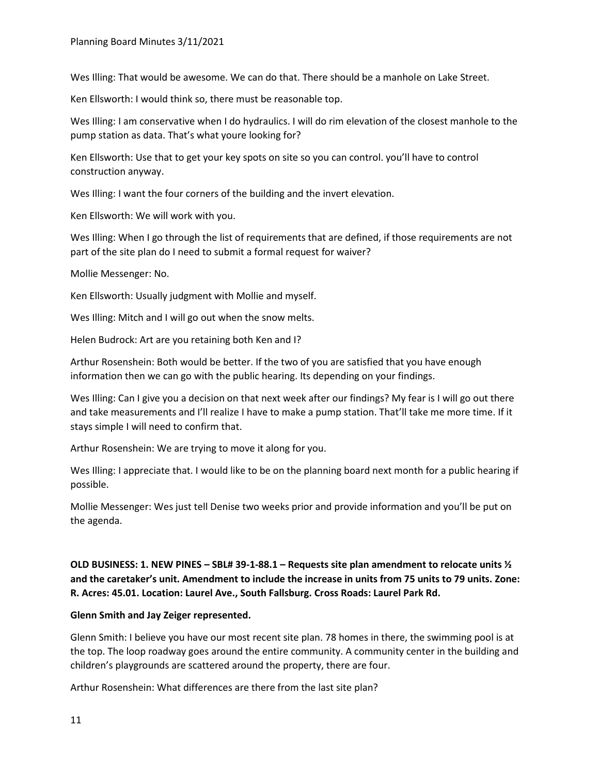Wes Illing: That would be awesome. We can do that. There should be a manhole on Lake Street.

Ken Ellsworth: I would think so, there must be reasonable top.

Wes Illing: I am conservative when I do hydraulics. I will do rim elevation of the closest manhole to the pump station as data. That's what youre looking for?

Ken Ellsworth: Use that to get your key spots on site so you can control. you'll have to control construction anyway.

Wes Illing: I want the four corners of the building and the invert elevation.

Ken Ellsworth: We will work with you.

Wes Illing: When I go through the list of requirements that are defined, if those requirements are not part of the site plan do I need to submit a formal request for waiver?

Mollie Messenger: No.

Ken Ellsworth: Usually judgment with Mollie and myself.

Wes Illing: Mitch and I will go out when the snow melts.

Helen Budrock: Art are you retaining both Ken and I?

Arthur Rosenshein: Both would be better. If the two of you are satisfied that you have enough information then we can go with the public hearing. Its depending on your findings.

Wes Illing: Can I give you a decision on that next week after our findings? My fear is I will go out there and take measurements and I'll realize I have to make a pump station. That'll take me more time. If it stays simple I will need to confirm that.

Arthur Rosenshein: We are trying to move it along for you.

Wes Illing: I appreciate that. I would like to be on the planning board next month for a public hearing if possible.

Mollie Messenger: Wes just tell Denise two weeks prior and provide information and you'll be put on the agenda.

**OLD BUSINESS: 1. NEW PINES – SBL# 39-1-88.1 – Requests site plan amendment to relocate units ½ and the caretaker's unit. Amendment to include the increase in units from 75 units to 79 units. Zone: R. Acres: 45.01. Location: Laurel Ave., South Fallsburg. Cross Roads: Laurel Park Rd.**

## **Glenn Smith and Jay Zeiger represented.**

Glenn Smith: I believe you have our most recent site plan. 78 homes in there, the swimming pool is at the top. The loop roadway goes around the entire community. A community center in the building and children's playgrounds are scattered around the property, there are four.

Arthur Rosenshein: What differences are there from the last site plan?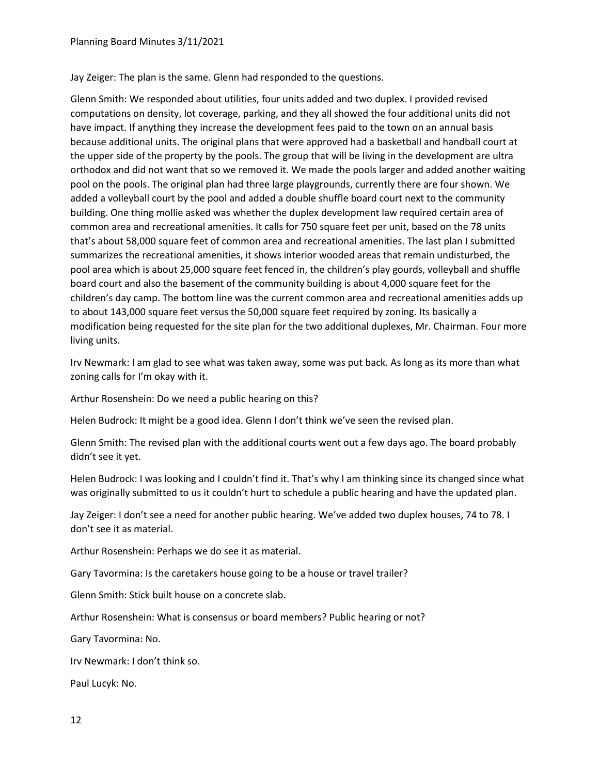Jay Zeiger: The plan is the same. Glenn had responded to the questions.

Glenn Smith: We responded about utilities, four units added and two duplex. I provided revised computations on density, lot coverage, parking, and they all showed the four additional units did not have impact. If anything they increase the development fees paid to the town on an annual basis because additional units. The original plans that were approved had a basketball and handball court at the upper side of the property by the pools. The group that will be living in the development are ultra orthodox and did not want that so we removed it. We made the pools larger and added another waiting pool on the pools. The original plan had three large playgrounds, currently there are four shown. We added a volleyball court by the pool and added a double shuffle board court next to the community building. One thing mollie asked was whether the duplex development law required certain area of common area and recreational amenities. It calls for 750 square feet per unit, based on the 78 units that's about 58,000 square feet of common area and recreational amenities. The last plan I submitted summarizes the recreational amenities, it shows interior wooded areas that remain undisturbed, the pool area which is about 25,000 square feet fenced in, the children's play gourds, volleyball and shuffle board court and also the basement of the community building is about 4,000 square feet for the children's day camp. The bottom line was the current common area and recreational amenities adds up to about 143,000 square feet versus the 50,000 square feet required by zoning. Its basically a modification being requested for the site plan for the two additional duplexes, Mr. Chairman. Four more living units.

Irv Newmark: I am glad to see what was taken away, some was put back. As long as its more than what zoning calls for I'm okay with it.

Arthur Rosenshein: Do we need a public hearing on this?

Helen Budrock: It might be a good idea. Glenn I don't think we've seen the revised plan.

Glenn Smith: The revised plan with the additional courts went out a few days ago. The board probably didn't see it yet.

Helen Budrock: I was looking and I couldn't find it. That's why I am thinking since its changed since what was originally submitted to us it couldn't hurt to schedule a public hearing and have the updated plan.

Jay Zeiger: I don't see a need for another public hearing. We've added two duplex houses, 74 to 78. I don't see it as material.

Arthur Rosenshein: Perhaps we do see it as material.

Gary Tavormina: Is the caretakers house going to be a house or travel trailer?

Glenn Smith: Stick built house on a concrete slab.

Arthur Rosenshein: What is consensus or board members? Public hearing or not?

Gary Tavormina: No.

Irv Newmark: I don't think so.

Paul Lucyk: No.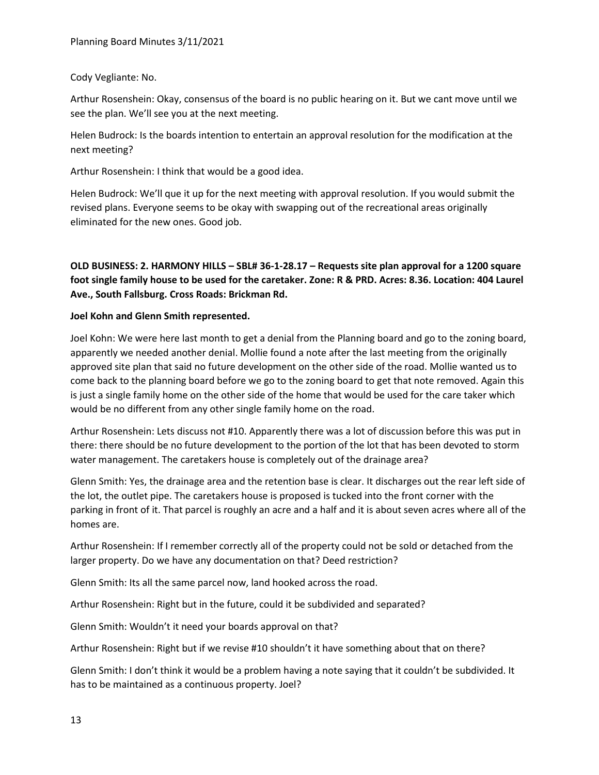## Cody Vegliante: No.

Arthur Rosenshein: Okay, consensus of the board is no public hearing on it. But we cant move until we see the plan. We'll see you at the next meeting.

Helen Budrock: Is the boards intention to entertain an approval resolution for the modification at the next meeting?

Arthur Rosenshein: I think that would be a good idea.

Helen Budrock: We'll que it up for the next meeting with approval resolution. If you would submit the revised plans. Everyone seems to be okay with swapping out of the recreational areas originally eliminated for the new ones. Good job.

**OLD BUSINESS: 2. HARMONY HILLS – SBL# 36-1-28.17 – Requests site plan approval for a 1200 square foot single family house to be used for the caretaker. Zone: R & PRD. Acres: 8.36. Location: 404 Laurel Ave., South Fallsburg. Cross Roads: Brickman Rd.**

## **Joel Kohn and Glenn Smith represented.**

Joel Kohn: We were here last month to get a denial from the Planning board and go to the zoning board, apparently we needed another denial. Mollie found a note after the last meeting from the originally approved site plan that said no future development on the other side of the road. Mollie wanted us to come back to the planning board before we go to the zoning board to get that note removed. Again this is just a single family home on the other side of the home that would be used for the care taker which would be no different from any other single family home on the road.

Arthur Rosenshein: Lets discuss not #10. Apparently there was a lot of discussion before this was put in there: there should be no future development to the portion of the lot that has been devoted to storm water management. The caretakers house is completely out of the drainage area?

Glenn Smith: Yes, the drainage area and the retention base is clear. It discharges out the rear left side of the lot, the outlet pipe. The caretakers house is proposed is tucked into the front corner with the parking in front of it. That parcel is roughly an acre and a half and it is about seven acres where all of the homes are.

Arthur Rosenshein: If I remember correctly all of the property could not be sold or detached from the larger property. Do we have any documentation on that? Deed restriction?

Glenn Smith: Its all the same parcel now, land hooked across the road.

Arthur Rosenshein: Right but in the future, could it be subdivided and separated?

Glenn Smith: Wouldn't it need your boards approval on that?

Arthur Rosenshein: Right but if we revise #10 shouldn't it have something about that on there?

Glenn Smith: I don't think it would be a problem having a note saying that it couldn't be subdivided. It has to be maintained as a continuous property. Joel?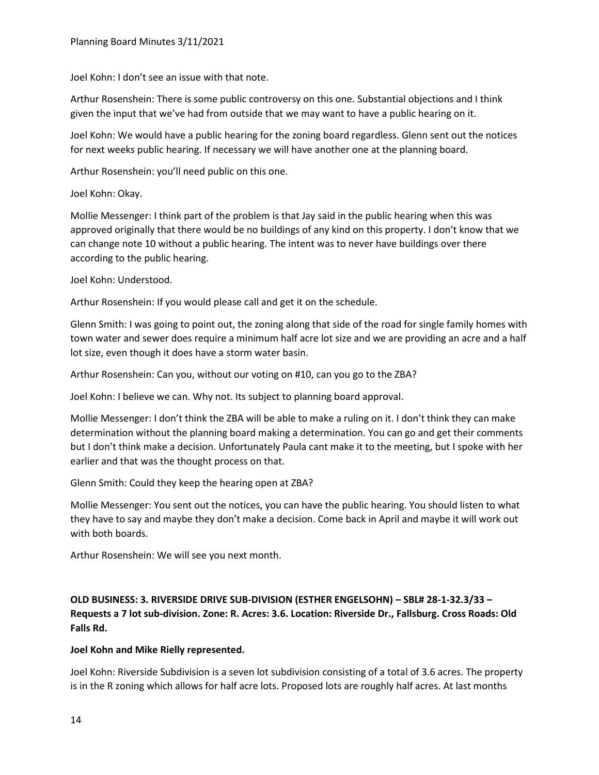Joel Kohn: I don't see an issue with that note.

Arthur Rosenshein: There is some public controversy on this one. Substantial objections and I think given the input that we've had from outside that we may want to have a public hearing on it.

Joel Kohn: We would have a public hearing for the zoning board regardless. Glenn sent out the notices for next weeks public hearing. If necessary we will have another one at the planning board.

Arthur Rosenshein: you'll need public on this one.

Joel Kohn: Okay.

Mollie Messenger: I think part of the problem is that Jay said in the public hearing when this was approved originally that there would be no buildings of any kind on this property. I don't know that we can change note 10 without a public hearing. The intent was to never have buildings over there according to the public hearing.

Joel Kohn: Understood.

Arthur Rosenshein: If you would please call and get it on the schedule.

Glenn Smith: I was going to point out, the zoning along that side of the road for single family homes with town water and sewer does require a minimum half acre lot size and we are providing an acre and a half lot size, even though it does have a storm water basin.

Arthur Rosenshein: Can you, without our voting on #10, can you go to the ZBA?

Joel Kohn: I believe we can. Why not. Its subject to planning board approval.

Mollie Messenger: I don't think the ZBA will be able to make a ruling on it. I don't think they can make determination without the planning board making a determination. You can go and get their comments but I don't think make a decision. Unfortunately Paula cant make it to the meeting, but I spoke with her earlier and that was the thought process on that.

Glenn Smith: Could they keep the hearing open at ZBA?

Mollie Messenger: You sent out the notices, you can have the public hearing. You should listen to what they have to say and maybe they don't make a decision. Come back in April and maybe it will work out with both boards.

Arthur Rosenshein: We will see you next month.

**OLD BUSINESS: 3. RIVERSIDE DRIVE SUB-DIVISION (ESTHER ENGELSOHN) – SBL# 28-1-32.3/33 – Requests a 7 lot sub-division. Zone: R. Acres: 3.6. Location: Riverside Dr., Fallsburg. Cross Roads: Old Falls Rd.**

## **Joel Kohn and Mike Rielly represented.**

Joel Kohn: Riverside Subdivision is a seven lot subdivision consisting of a total of 3.6 acres. The property is in the R zoning which allows for half acre lots. Proposed lots are roughly half acres. At last months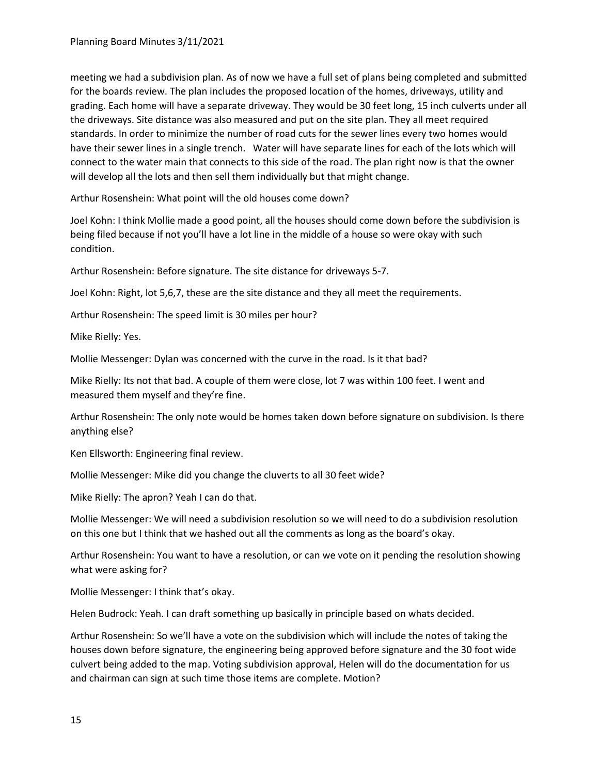meeting we had a subdivision plan. As of now we have a full set of plans being completed and submitted for the boards review. The plan includes the proposed location of the homes, driveways, utility and grading. Each home will have a separate driveway. They would be 30 feet long, 15 inch culverts under all the driveways. Site distance was also measured and put on the site plan. They all meet required standards. In order to minimize the number of road cuts for the sewer lines every two homes would have their sewer lines in a single trench. Water will have separate lines for each of the lots which will connect to the water main that connects to this side of the road. The plan right now is that the owner will develop all the lots and then sell them individually but that might change.

Arthur Rosenshein: What point will the old houses come down?

Joel Kohn: I think Mollie made a good point, all the houses should come down before the subdivision is being filed because if not you'll have a lot line in the middle of a house so were okay with such condition.

Arthur Rosenshein: Before signature. The site distance for driveways 5-7.

Joel Kohn: Right, lot 5,6,7, these are the site distance and they all meet the requirements.

Arthur Rosenshein: The speed limit is 30 miles per hour?

Mike Rielly: Yes.

Mollie Messenger: Dylan was concerned with the curve in the road. Is it that bad?

Mike Rielly: Its not that bad. A couple of them were close, lot 7 was within 100 feet. I went and measured them myself and they're fine.

Arthur Rosenshein: The only note would be homes taken down before signature on subdivision. Is there anything else?

Ken Ellsworth: Engineering final review.

Mollie Messenger: Mike did you change the cluverts to all 30 feet wide?

Mike Rielly: The apron? Yeah I can do that.

Mollie Messenger: We will need a subdivision resolution so we will need to do a subdivision resolution on this one but I think that we hashed out all the comments as long as the board's okay.

Arthur Rosenshein: You want to have a resolution, or can we vote on it pending the resolution showing what were asking for?

Mollie Messenger: I think that's okay.

Helen Budrock: Yeah. I can draft something up basically in principle based on whats decided.

Arthur Rosenshein: So we'll have a vote on the subdivision which will include the notes of taking the houses down before signature, the engineering being approved before signature and the 30 foot wide culvert being added to the map. Voting subdivision approval, Helen will do the documentation for us and chairman can sign at such time those items are complete. Motion?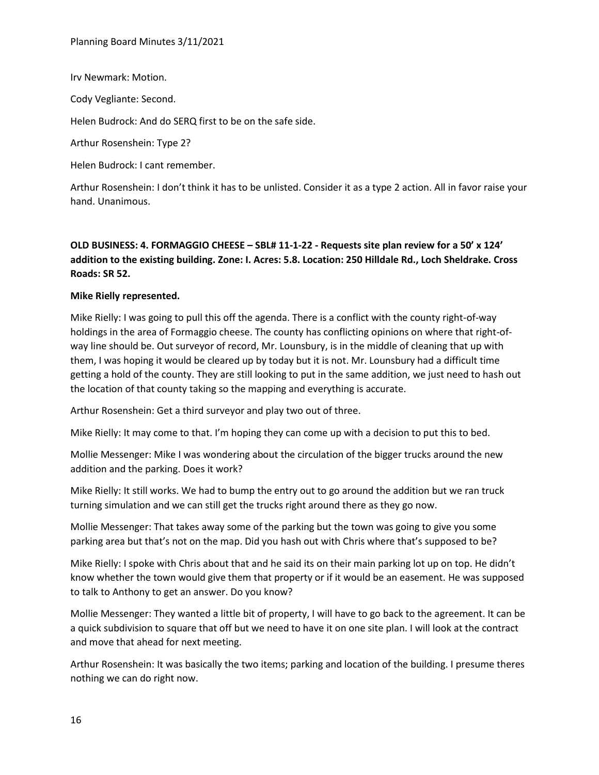Irv Newmark: Motion.

Cody Vegliante: Second.

Helen Budrock: And do SERQ first to be on the safe side.

Arthur Rosenshein: Type 2?

Helen Budrock: I cant remember.

Arthur Rosenshein: I don't think it has to be unlisted. Consider it as a type 2 action. All in favor raise your hand. Unanimous.

# **OLD BUSINESS: 4. FORMAGGIO CHEESE – SBL# 11-1-22 - Requests site plan review for a 50' x 124' addition to the existing building. Zone: I. Acres: 5.8. Location: 250 Hilldale Rd., Loch Sheldrake. Cross Roads: SR 52.**

#### **Mike Rielly represented.**

Mike Rielly: I was going to pull this off the agenda. There is a conflict with the county right-of-way holdings in the area of Formaggio cheese. The county has conflicting opinions on where that right-ofway line should be. Out surveyor of record, Mr. Lounsbury, is in the middle of cleaning that up with them, I was hoping it would be cleared up by today but it is not. Mr. Lounsbury had a difficult time getting a hold of the county. They are still looking to put in the same addition, we just need to hash out the location of that county taking so the mapping and everything is accurate.

Arthur Rosenshein: Get a third surveyor and play two out of three.

Mike Rielly: It may come to that. I'm hoping they can come up with a decision to put this to bed.

Mollie Messenger: Mike I was wondering about the circulation of the bigger trucks around the new addition and the parking. Does it work?

Mike Rielly: It still works. We had to bump the entry out to go around the addition but we ran truck turning simulation and we can still get the trucks right around there as they go now.

Mollie Messenger: That takes away some of the parking but the town was going to give you some parking area but that's not on the map. Did you hash out with Chris where that's supposed to be?

Mike Rielly: I spoke with Chris about that and he said its on their main parking lot up on top. He didn't know whether the town would give them that property or if it would be an easement. He was supposed to talk to Anthony to get an answer. Do you know?

Mollie Messenger: They wanted a little bit of property, I will have to go back to the agreement. It can be a quick subdivision to square that off but we need to have it on one site plan. I will look at the contract and move that ahead for next meeting.

Arthur Rosenshein: It was basically the two items; parking and location of the building. I presume theres nothing we can do right now.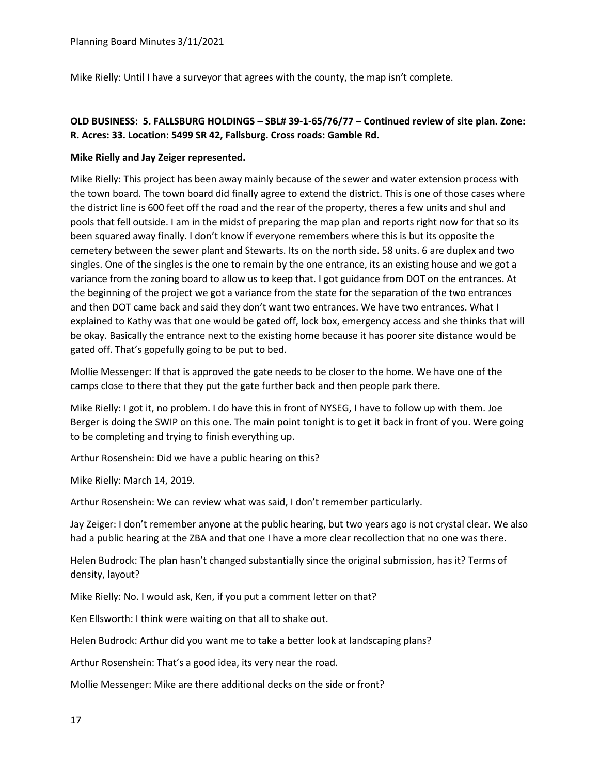Mike Rielly: Until I have a surveyor that agrees with the county, the map isn't complete.

# **OLD BUSINESS: 5. FALLSBURG HOLDINGS – SBL# 39-1-65/76/77 – Continued review of site plan. Zone: R. Acres: 33. Location: 5499 SR 42, Fallsburg. Cross roads: Gamble Rd.**

#### **Mike Rielly and Jay Zeiger represented.**

Mike Rielly: This project has been away mainly because of the sewer and water extension process with the town board. The town board did finally agree to extend the district. This is one of those cases where the district line is 600 feet off the road and the rear of the property, theres a few units and shul and pools that fell outside. I am in the midst of preparing the map plan and reports right now for that so its been squared away finally. I don't know if everyone remembers where this is but its opposite the cemetery between the sewer plant and Stewarts. Its on the north side. 58 units. 6 are duplex and two singles. One of the singles is the one to remain by the one entrance, its an existing house and we got a variance from the zoning board to allow us to keep that. I got guidance from DOT on the entrances. At the beginning of the project we got a variance from the state for the separation of the two entrances and then DOT came back and said they don't want two entrances. We have two entrances. What I explained to Kathy was that one would be gated off, lock box, emergency access and she thinks that will be okay. Basically the entrance next to the existing home because it has poorer site distance would be gated off. That's gopefully going to be put to bed.

Mollie Messenger: If that is approved the gate needs to be closer to the home. We have one of the camps close to there that they put the gate further back and then people park there.

Mike Rielly: I got it, no problem. I do have this in front of NYSEG, I have to follow up with them. Joe Berger is doing the SWIP on this one. The main point tonight is to get it back in front of you. Were going to be completing and trying to finish everything up.

Arthur Rosenshein: Did we have a public hearing on this?

Mike Rielly: March 14, 2019.

Arthur Rosenshein: We can review what was said, I don't remember particularly.

Jay Zeiger: I don't remember anyone at the public hearing, but two years ago is not crystal clear. We also had a public hearing at the ZBA and that one I have a more clear recollection that no one was there.

Helen Budrock: The plan hasn't changed substantially since the original submission, has it? Terms of density, layout?

Mike Rielly: No. I would ask, Ken, if you put a comment letter on that?

Ken Ellsworth: I think were waiting on that all to shake out.

Helen Budrock: Arthur did you want me to take a better look at landscaping plans?

Arthur Rosenshein: That's a good idea, its very near the road.

Mollie Messenger: Mike are there additional decks on the side or front?